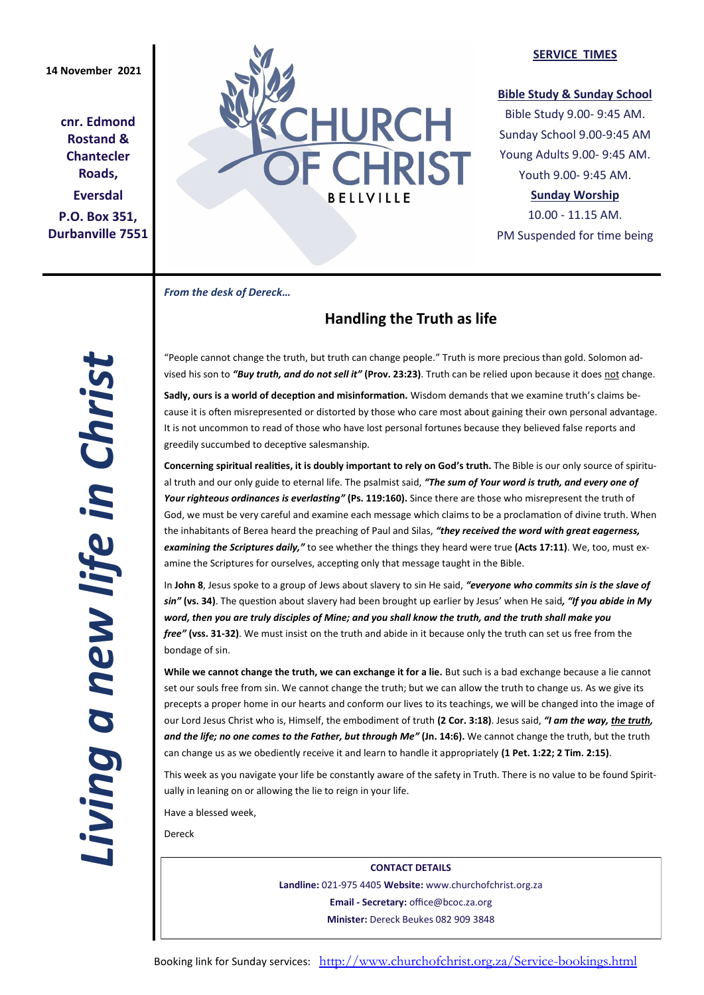**cnr. Edmond Rostand & Chantecler Roads, Eversdal P.O. Box 351, Durbanville 7551**



#### **SERVICE TIMES**

### **Bible Study & Sunday School**

Bible Study 9.00- 9:45 AM. Sunday School 9.00-9:45 AM Young Adults 9.00- 9:45 AM. Youth 9.00- 9:45 AM.

# **Sunday Worship**

10.00 - 11.15 AM. PM Suspended for time being

*From the desk of Dereck…* 

# **Handling the Truth as life**

"People cannot change the truth, but truth can change people." Truth is more precious than gold. Solomon advised his son to *"Buy truth, and do not sell it"* **(Prov. 23:23)**. Truth can be relied upon because it does not change.

**Sadly, ours is a world of deception and misinformation.** Wisdom demands that we examine truth's claims because it is often misrepresented or distorted by those who care most about gaining their own personal advantage. It is not uncommon to read of those who have lost personal fortunes because they believed false reports and greedily succumbed to deceptive salesmanship.

**Concerning spiritual realities, it is doubly important to rely on God's truth.** The Bible is our only source of spiritual truth and our only guide to eternal life. The psalmist said, *"The sum of Your word is truth, and every one of Your righteous ordinances is everlasting"* **(Ps. 119:160).** Since there are those who misrepresent the truth of God, we must be very careful and examine each message which claims to be a proclamation of divine truth. When the inhabitants of Berea heard the preaching of Paul and Silas, *"they received the word with great eagerness, examining the Scriptures daily,"* to see whether the things they heard were true **(Acts 17:11)**. We, too, must examine the Scriptures for ourselves, accepting only that message taught in the Bible.

In **John 8**, Jesus spoke to a group of Jews about slavery to sin He said, *"everyone who commits sin is the slave of sin"* **(vs. 34)**. The question about slavery had been brought up earlier by Jesus' when He said*, "If you abide in My word, then you are truly disciples of Mine; and you shall know the truth, and the truth shall make you free"* **(vss. 31-32)**. We must insist on the truth and abide in it because only the truth can set us free from the bondage of sin.

**While we cannot change the truth, we can exchange it for a lie.** But such is a bad exchange because a lie cannot set our souls free from sin. We cannot change the truth; but we can allow the truth to change us. As we give its precepts a proper home in our hearts and conform our lives to its teachings, we will be changed into the image of our Lord Jesus Christ who is, Himself, the embodiment of truth **(2 Cor. 3:18)**. Jesus said, *"I am the way, the truth, and the life; no one comes to the Father, but through Me"* **(Jn. 14:6).** We cannot change the truth, but the truth can change us as we obediently receive it and learn to handle it appropriately **(1 Pet. 1:22; 2 Tim. 2:15)**.

This week as you navigate your life be constantly aware of the safety in Truth. There is no value to be found Spiritually in leaning on or allowing the lie to reign in your life.

Have a blessed week,

Dereck

**CONTACT DETAILS Landline:** 021-975 4405 **Website:** www.churchofchrist.org.za **Email - Secretary:** office@bcoc.za.org **Minister:** Dereck Beukes 082 909 3848